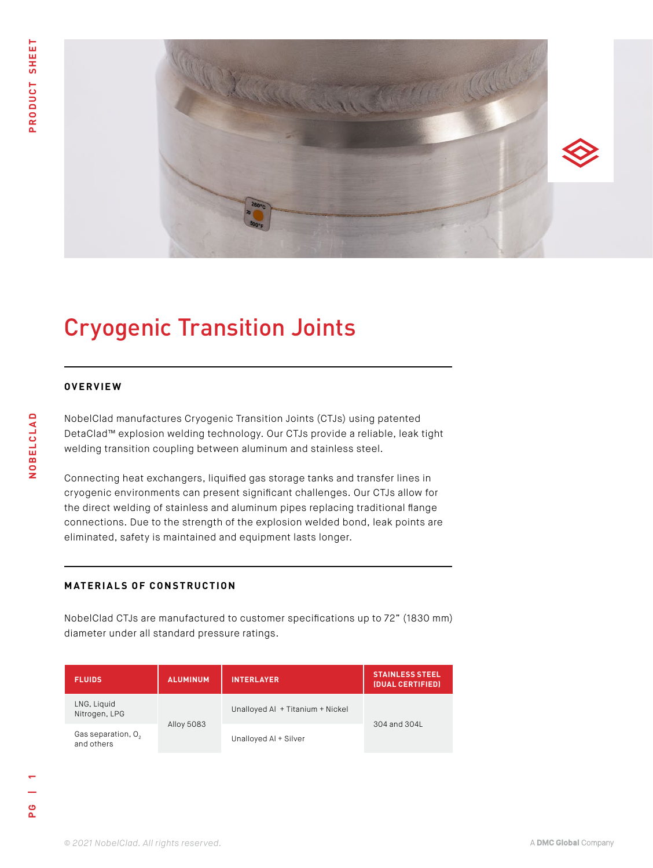

## Cryogenic Transition Joints

## **OVERVIEW**

NobelClad manufactures Cryogenic Transition Joints (CTJs) using patented DetaClad™ explosion welding technology. Our CTJs provide a reliable, leak tight welding transition coupling between aluminum and stainless steel.

Connecting heat exchangers, liquified gas storage tanks and transfer lines in cryogenic environments can present significant challenges. Our CTJs allow for the direct welding of stainless and aluminum pipes replacing traditional flange connections. Due to the strength of the explosion welded bond, leak points are eliminated, safety is maintained and equipment lasts longer.

## **MATERIALS OF CONSTRUCTION**

NobelClad CTJs are manufactured to customer specifications up to 72" (1830 mm) diameter under all standard pressure ratings.

| <b>FLUIDS</b>                                | <b>ALUMINUM</b> | <b>INTERLAYER</b>                | <b>STAINLESS STEEL</b><br>(DUAL CERTIFIED) |
|----------------------------------------------|-----------------|----------------------------------|--------------------------------------------|
| LNG, Liquid<br>Nitrogen, LPG                 | Alloy 5083      | Unalloyed Al + Titanium + Nickel | 304 and 304L                               |
| Gas separation, O <sub>2</sub><br>and others |                 | Unalloyed AI + Silver            |                                            |

**NOBELCLAD**

NOBELCLAD